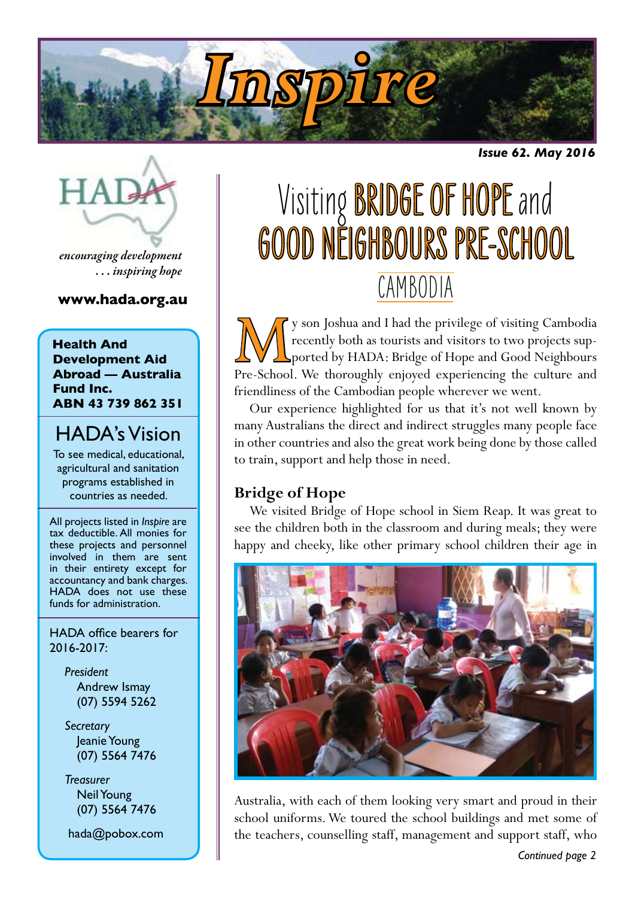

*Issue 62. May 2016*



*encouraging development . . . inspiring hope*

#### **www.hada.org.au**

#### **Health And Development Aid Abroad — Australia Fund Inc. ABN 43 739 862 351**

### HADA's Vision

To see medical, educational, agricultural and sanitation programs established in countries as needed.

All projects listed in *Inspire* are tax deductible. All monies for these projects and personnel involved in them are sent in their entirety except for accountancy and bank charges. HADA does not use these funds for administration.

HADA office bearers for 2016-2017:

> *President* Andrew Ismay (07) 5594 5262

> *Secretary* Jeanie Young (07) 5564 7476

> *Treasurer* Neil Young (07) 5564 7476

hada@pobox.com

# Visiting BRIDGE OF HOPE and GOOD NEIGHBOURS PRE-SCHOOL CAMBODIA

We y son Joshua and I had the privilege of visiting Cambodia<br>recently both as tourists and visitors to two projects sup-<br>ported by HADA: Bridge of Hope and Good Neighbours<br>Pre-School. We thoroughly enjoyed experiencing the recently both as tourists and visitors to two projects supported by HADA: Bridge of Hope and Good Neighbours Pre-School. We thoroughly enjoyed experiencing the culture and friendliness of the Cambodian people wherever we went.

Our experience highlighted for us that it's not well known by many Australians the direct and indirect struggles many people face in other countries and also the great work being done by those called to train, support and help those in need.

### **Bridge of Hope**

We visited Bridge of Hope school in Siem Reap. It was great to see the children both in the classroom and during meals; they were happy and cheeky, like other primary school children their age in



Australia, with each of them looking very smart and proud in their school uniforms. We toured the school buildings and met some of the teachers, counselling staff, management and support staff, who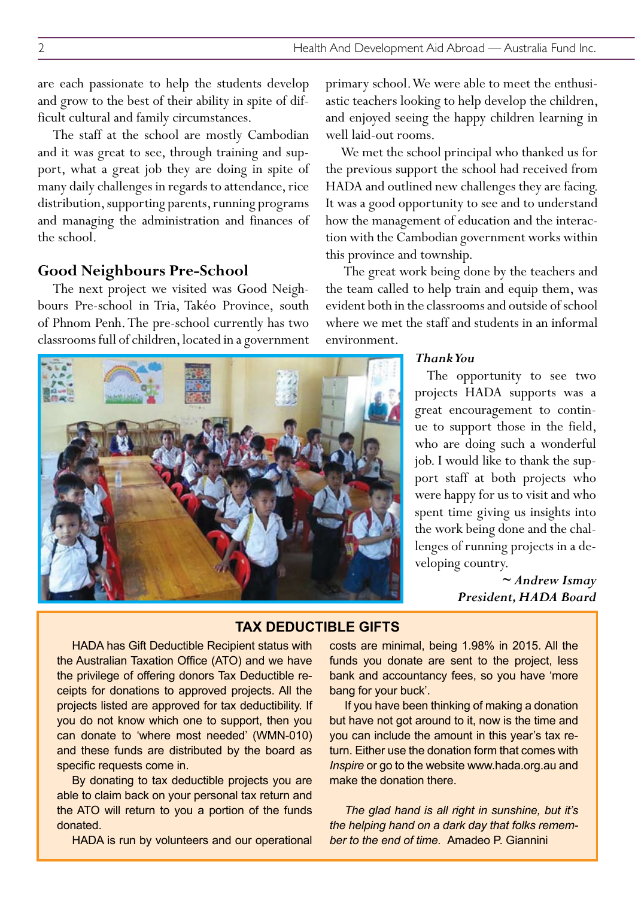are each passionate to help the students develop and grow to the best of their ability in spite of difficult cultural and family circumstances.

The staff at the school are mostly Cambodian and it was great to see, through training and support, what a great job they are doing in spite of many daily challenges in regards to attendance, rice distribution, supporting parents, running programs and managing the administration and finances of the school.

#### **Good Neighbours Pre-School**

The next project we visited was Good Neighbours Pre-school in Tria, Takéo Province, south of Phnom Penh. The pre-school currently has two classrooms full of children, located in a government primary school. We were able to meet the enthusiastic teachers looking to help develop the children, and enjoyed seeing the happy children learning in well laid-out rooms.

We met the school principal who thanked us for the previous support the school had received from HADA and outlined new challenges they are facing. It was a good opportunity to see and to understand how the management of education and the interaction with the Cambodian government works within this province and township.

The great work being done by the teachers and the team called to help train and equip them, was evident both in the classrooms and outside of school where we met the staff and students in an informal environment.

#### *Thank You*

The opportunity to see two projects HADA supports was a great encouragement to continue to support those in the field, who are doing such a wonderful job. I would like to thank the support staff at both projects who were happy for us to visit and who spent time giving us insights into the work being done and the challenges of running projects in a developing country.

> *~ Andrew Ismay President, HADA Board*

**TAX DEDUCTIBLE GIFTS** 

HADA has Gift Deductible Recipient status with the Australian Taxation Office (ATO) and we have the privilege of offering donors Tax Deductible receipts for donations to approved projects. All the projects listed are approved for tax deductibility. If you do not know which one to support, then you can donate to 'where most needed' (WMN-010) and these funds are distributed by the board as specific requests come in.

By donating to tax deductible projects you are able to claim back on your personal tax return and the ATO will return to you a portion of the funds donated.

HADA is run by volunteers and our operational

costs are minimal, being 1.98% in 2015. All the funds you donate are sent to the project, less bank and accountancy fees, so you have 'more bang for your buck'.

If you have been thinking of making a donation but have not got around to it, now is the time and you can include the amount in this year's tax return. Either use the donation form that comes with *Inspire* or go to the website www.hada.org.au and make the donation there.

*The glad hand is all right in sunshine, but it's the helping hand on a dark day that folks remember to the end of time.* Amadeo P. Giannini

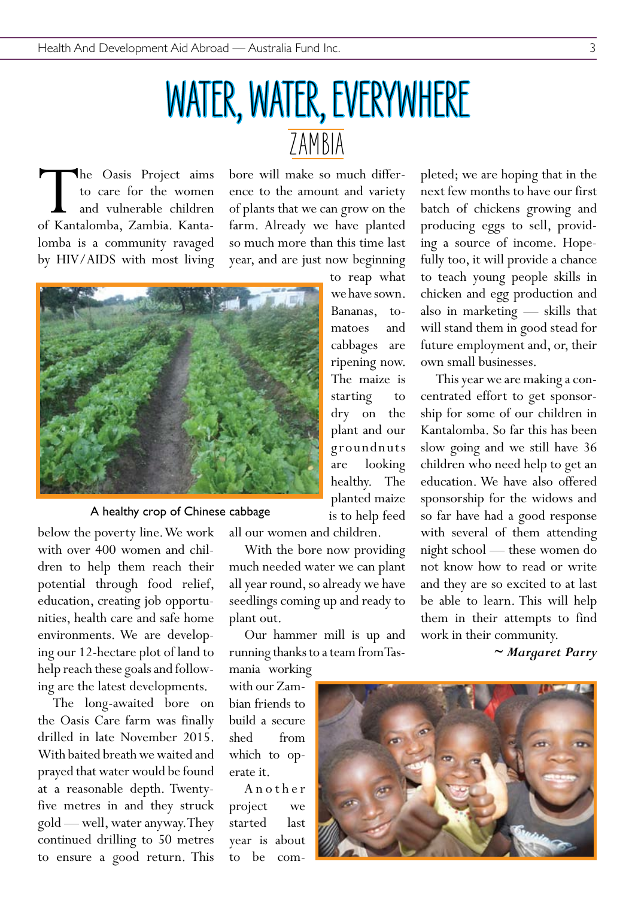### WATER, WATER, EVERYWHERE ZAMBIA

The Oasis Project aims<br>to care for the women<br>and vulnerable children<br>of Kantalomba, Zambia. Kantato care for the women and vulnerable children lomba is a community ravaged by HIV/AIDS with most living

bore will make so much difference to the amount and variety of plants that we can grow on the farm. Already we have planted so much more than this time last year, and are just now beginning



A healthy crop of Chinese cabbage

below the poverty line. We work with over 400 women and children to help them reach their potential through food relief, education, creating job opportunities, health care and safe home environments. We are developing our 12-hectare plot of land to help reach these goals and following are the latest developments.

The long-awaited bore on the Oasis Care farm was finally drilled in late November 2015. With baited breath we waited and prayed that water would be found at a reasonable depth. Twentyfive metres in and they struck gold — well, water anyway. They continued drilling to 50 metres to ensure a good return. This

all our women and children.

With the bore now providing much needed water we can plant all year round, so already we have seedlings coming up and ready to plant out.

Our hammer mill is up and running thanks to a team from Tasmania working

with our Zambian friends to build a secure shed from which to operate it.

A n o t h e r project we started last year is about to be com-

to reap what we have sown. Bananas, tomatoes and cabbages are ripening now. The maize is starting to dry on the plant and our g roundnuts are looking healthy. The planted maize is to help feed

pleted; we are hoping that in the next few months to have our first batch of chickens growing and producing eggs to sell, providing a source of income. Hopefully too, it will provide a chance to teach young people skills in chicken and egg production and also in marketing — skills that will stand them in good stead for future employment and, or, their own small businesses.

This year we are making a concentrated effort to get sponsorship for some of our children in Kantalomba. So far this has been slow going and we still have 36 children who need help to get an education. We have also offered sponsorship for the widows and so far have had a good response with several of them attending night school — these women do not know how to read or write and they are so excited to at last be able to learn. This will help them in their attempts to find work in their community.

*~ Margaret Parry*

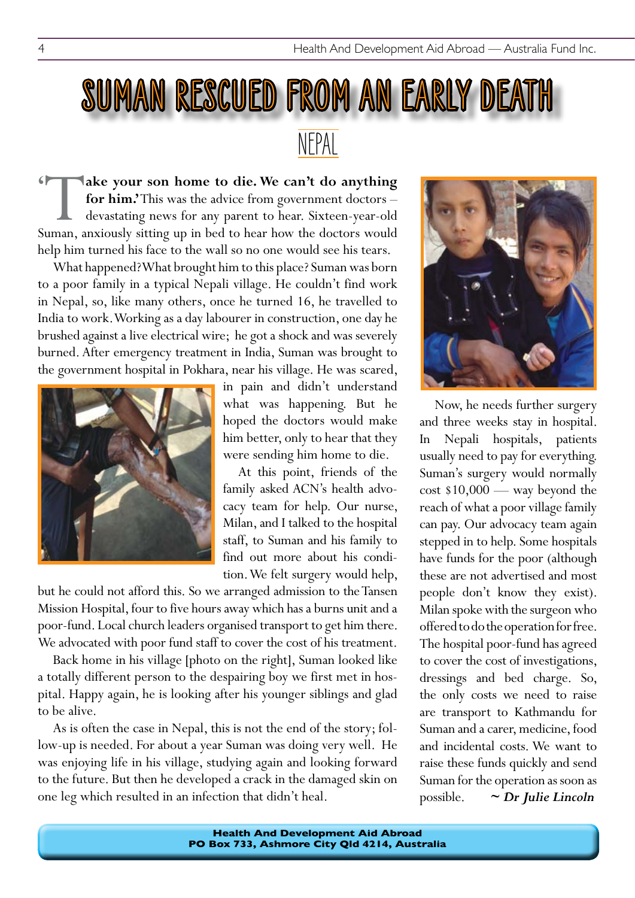## NEPAL SUMAN RESCUED FROM AN EARLY DEATH

**ake your son home to die. We can't do anything for him.'** This was the advice from government doctors – devastating news for any parent to hear. Sixteen-year-old uman, anxiously sitting up in bed to hear how the doctors w **for him.'** This was the advice from government doctors – devastating news for any parent to hear. Sixteen-year-old Suman, anxiously sitting up in bed to hear how the doctors would help him turned his face to the wall so no one would see his tears. **'**

What happened? What brought him to this place? Suman was born to a poor family in a typical Nepali village. He couldn't find work in Nepal, so, like many others, once he turned 16, he travelled to India to work. Working as a day labourer in construction, one day he brushed against a live electrical wire; he got a shock and was severely burned. After emergency treatment in India, Suman was brought to the government hospital in Pokhara, near his village. He was scared,



in pain and didn't understand what was happening. But he hoped the doctors would make him better, only to hear that they were sending him home to die.

At this point, friends of the family asked ACN's health advocacy team for help. Our nurse, Milan, and I talked to the hospital staff, to Suman and his family to find out more about his condition. We felt surgery would help,

but he could not afford this. So we arranged admission to the Tansen Mission Hospital, four to five hours away which has a burns unit and a poor-fund. Local church leaders organised transport to get him there. We advocated with poor fund staff to cover the cost of his treatment.

Back home in his village [photo on the right], Suman looked like a totally different person to the despairing boy we first met in hospital. Happy again, he is looking after his younger siblings and glad to be alive.

As is often the case in Nepal, this is not the end of the story; follow-up is needed. For about a year Suman was doing very well. He was enjoying life in his village, studying again and looking forward to the future. But then he developed a crack in the damaged skin on one leg which resulted in an infection that didn't heal.



Now, he needs further surgery and three weeks stay in hospital. In Nepali hospitals, patients usually need to pay for everything. Suman's surgery would normally cost \$10,000 — way beyond the reach of what a poor village family can pay. Our advocacy team again stepped in to help. Some hospitals have funds for the poor (although these are not advertised and most people don't know they exist). Milan spoke with the surgeon who offered to do the operation for free. The hospital poor-fund has agreed to cover the cost of investigations, dressings and bed charge. So, the only costs we need to raise are transport to Kathmandu for Suman and a carer, medicine, food and incidental costs. We want to raise these funds quickly and send Suman for the operation as soon as possible. *~ Dr Julie Lincoln*

**Health And Development Aid Abroad PO Box 733, Ashmore City Qld 4214, Australia**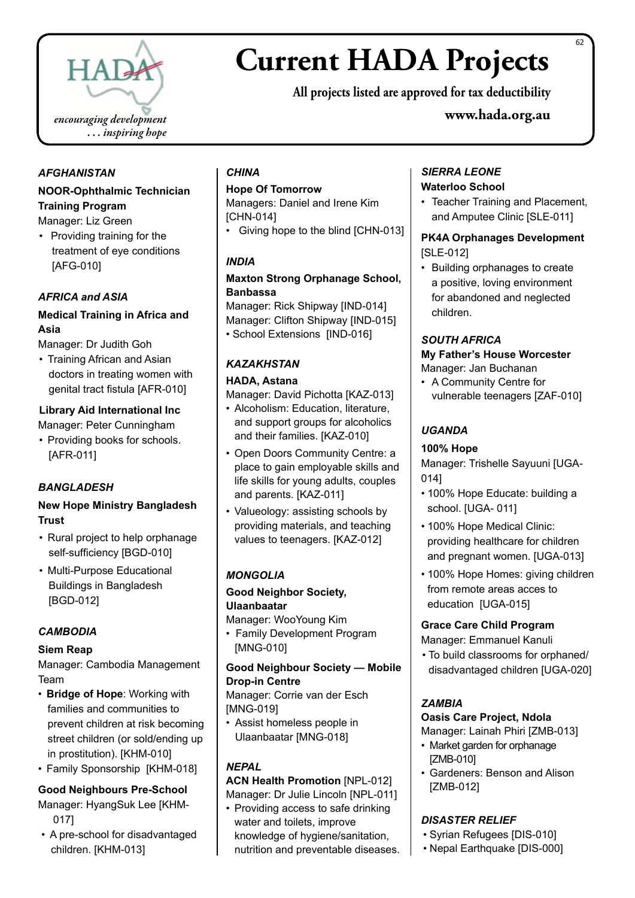

### **Current HADA Projects**

**All projects listed are approved for tax deductibility**

**www.hada.org.au**

#### *AFGHANISTAN*

#### **NOOR-Ophthalmic Technician Training Program**

Manager: Liz Green

• Providing training for the treatment of eye conditions [AFG-010]

#### *AFRICA and ASIA*

#### **Medical Training in Africa and Asia**

Manager: Dr Judith Goh

• Training African and Asian doctors in treating women with genital tract fistula [AFR-010]

#### **Library Aid International Inc**

- Manager: Peter Cunningham
- Providing books for schools. [AFR-011]

#### *BANGLADESH*

#### **New Hope Ministry Bangladesh Trust**

- Rural project to help orphanage self-sufficiency [BGD-010]
- Multi-Purpose Educational Buildings in Bangladesh [BGD-012]

#### *CAMBODIA*

#### **Siem Reap**

Manager: Cambodia Management Team

- • **Bridge of Hope**: Working with families and communities to prevent children at risk becoming street children (or sold/ending up in prostitution). [KHM-010]
- Family Sponsorship [KHM-018]

#### **Good Neighbours Pre-School**

- Manager: HyangSuk Lee [KHM-017]
- A pre-school for disadvantaged children. [KHM-013]

#### *CHINA*

#### **Hope Of Tomorrow**

Managers: Daniel and Irene Kim [CHN-014]

• Giving hope to the blind [CHN-013]

#### *INDIA*

#### **Maxton Strong Orphanage School, Banbassa**

Manager: Rick Shipway [IND-014] Manager: Clifton Shipway [IND-015] • School Extensions [IND-016]

#### *KAZAKHSTAN*

#### **HADA, Astana**

Manager: David Pichotta [KAZ-013]

- Alcoholism: Education, literature, and support groups for alcoholics and their families. [KAZ-010]
- Open Doors Community Centre: a place to gain employable skills and life skills for young adults, couples and parents. [KAZ-011]
- Valueology: assisting schools by providing materials, and teaching values to teenagers. [KAZ-012]

#### *MONGOLIA*

#### **Good Neighbor Society, Ulaanbaatar**

Manager: WooYoung Kim

• Family Development Program [MNG-010]

#### **Good Neighbour Society — Mobile Drop-in Centre**

Manager: Corrie van der Esch [MNG-019]

• Assist homeless people in Ulaanbaatar [MNG-018]

#### *NEPAL*

#### **ACN Health Promotion** [NPL-012] Manager: Dr Julie Lincoln [NPL-011]

• Providing access to safe drinking water and toilets, improve knowledge of hygiene/sanitation, nutrition and preventable diseases.

#### *SIERRA LEONE* **Waterloo School**

• Teacher Training and Placement, and Amputee Clinic [SLE-011]

#### **PK4A Orphanages Development**  [SLE-012]

• Building orphanages to create a positive, loving environment for abandoned and neglected children.

#### *SOUTH AFRICA*

#### **My Father's House Worcester** Manager: Jan Buchanan

• A Community Centre for vulnerable teenagers [ZAF-010]

#### *UGANDA*

#### **100% Hope**

Manager: Trishelle Sayuuni [UGA-014]

- 100% Hope Educate: building a school. [UGA- 011]
- 100% Hope Medical Clinic: providing healthcare for children and pregnant women. [UGA-013]
- 100% Hope Homes: giving children from remote areas acces to education [UGA-015]

#### **Grace Care Child Program**

Manager: Emmanuel Kanuli

• To build classrooms for orphaned/ disadvantaged children [UGA-020]

#### *ZAMBIA*

#### **Oasis Care Project, Ndola**

- Manager: Lainah Phiri [ZMB-013] • Market garden for orphanage [ZMB-010]
- • Gardeners: Benson and Alison [ZMB-012]

#### *DISASTER RELIEF*

- • Syrian Refugees [DIS-010]
- • Nepal Earthquake [DIS-000]